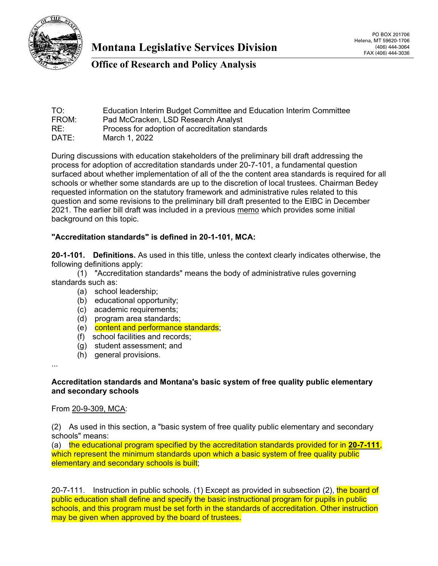

## **Office of Research and Policy Analysis**

| TO:   | Education Interim Budget Committee and Education Interim Committee |
|-------|--------------------------------------------------------------------|
| FROM: | Pad McCracken, LSD Research Analyst                                |
| RE:   | Process for adoption of accreditation standards                    |
| DATE: | March 1, 2022                                                      |

During discussions with education stakeholders of the preliminary bill draft addressing the process for adoption of accreditation standards under 20-7-101, a fundamental question surfaced about whether implementation of all of the the content area standards is required for all schools or whether some standards are up to the discretion of local trustees. Chairman Bedey requested information on the statutory framework and administrative rules related to this question and some revisions to the preliminary bill draft presented to the EIBC in December 2021. The earlier bill draft was included in a previous [memo](https://leg.mt.gov/content/publications/fiscal/2023-Interim/IBC-E/Accred-standards-memo-PD23.pdf) which provides some initial background on this topic.

#### **"Accreditation standards" is defined in 20-1-101, MCA:**

**20-1-101. Definitions.** As used in this title, unless the context clearly indicates otherwise, the following definitions apply:

(1) "Accreditation standards" means the body of administrative rules governing standards such as:

- (a) school leadership;
- (b) educational opportunity;
- (c) academic requirements;
- (d) program area standards;
- (e) content and performance standards;
- (f) school facilities and records;
- (g) student assessment; and
- (h) general provisions.

...

#### **Accreditation standards and Montana's basic system of free quality public elementary and secondary schools**

#### From [20-9-309, MCA:](https://leg.mt.gov/bills/mca/title_0200/chapter_0090/part_0030/section_0090/0200-0090-0030-0090.html)

(2) As used in this section, a "basic system of free quality public elementary and secondary schools" means:

(a) the educational program specified by the accreditation standards provided for in **[20-7-111](https://leg.mt.gov/bills/mca/title_0200/chapter_0070/part_0010/section_0110/0200-0070-0010-0110.html)**, which represent the minimum standards upon which a basic system of free quality public elementary and secondary schools is built;

20-7-111. Instruction in public schools. (1) Except as provided in subsection (2), the board of public education shall define and specify the basic instructional program for pupils in public schools, and this program must be set forth in the standards of accreditation. Other instruction may be given when approved by the board of trustees.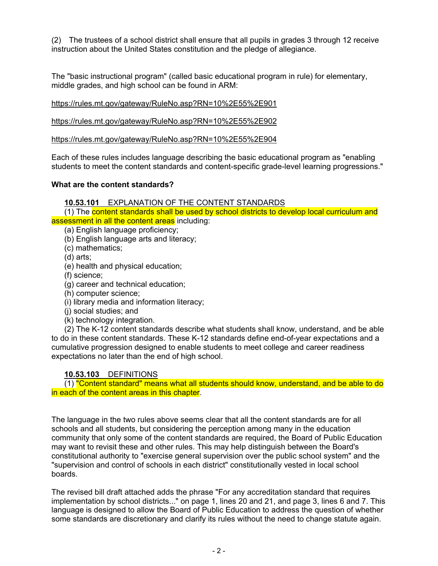(2) The trustees of a school district shall ensure that all pupils in grades 3 through 12 receive instruction about the United States constitution and the pledge of allegiance.

The "basic instructional program" (called basic educational program in rule) for elementary, middle grades, and high school can be found in ARM:

<https://rules.mt.gov/gateway/RuleNo.asp?RN=10%2E55%2E901>

<https://rules.mt.gov/gateway/RuleNo.asp?RN=10%2E55%2E902>

<https://rules.mt.gov/gateway/RuleNo.asp?RN=10%2E55%2E904>

Each of these rules includes language describing the basic educational program as "enabling students to meet the content standards and content-specific grade-level learning progressions."

#### **What are the content standards?**

**[10.53.101](https://rules.mt.gov/gateway/ruleno.asp?RN=10%2E53%2E101)** EXPLANATION OF THE CONTENT STANDARDS

(1) The content standards shall be used by school districts to develop local curriculum and assessment in all the content areas including:

(a) English language proficiency;

(b) English language arts and literacy;

(c) mathematics;

(d) arts;

(e) health and physical education;

(f) science;

(g) career and technical education;

(h) computer science;

(i) library media and information literacy;

(j) social studies; and

(k) technology integration.

(2) The K-12 content standards describe what students shall know, understand, and be able to do in these content standards. These K-12 standards define end-of-year expectations and a cumulative progression designed to enable students to meet college and career readiness expectations no later than the end of high school.

### **[10.53.103](https://rules.mt.gov/gateway/ruleno.asp?RN=10%2E53%2E103)** DEFINITIONS

(1) "Content standard" means what all students should know, understand, and be able to do in each of the content areas in this chapter.

The language in the two rules above seems clear that all the content standards are for all schools and all students, but considering the perception among many in the education community that only some of the content standards are required, the Board of Public Education may want to revisit these and other rules. This may help distinguish between the Board's constitutional authority to "exercise general supervision over the public school system" and the "supervision and control of schools in each district" constitutionally vested in local school boards.

The revised bill draft attached adds the phrase "For any accreditation standard that requires implementation by school districts..." on page 1, lines 20 and 21, and page 3, lines 6 and 7. This language is designed to allow the Board of Public Education to address the question of whether some standards are discretionary and clarify its rules without the need to change statute again.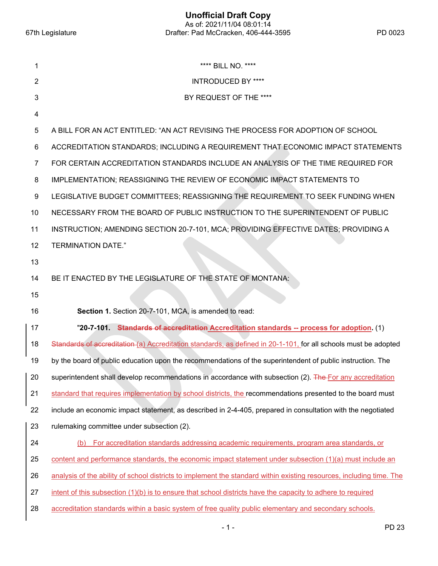**Unofficial Draft Copy**  As of: 2021/11/04 08:01:14 67th Legislature Drafter: Pad McCracken, 406-444-3595 PD 0023

| 1              | **** BILL NO. ****                                                                                                   |
|----------------|----------------------------------------------------------------------------------------------------------------------|
| $\overline{2}$ | <b>INTRODUCED BY ****</b>                                                                                            |
| 3              | BY REQUEST OF THE ****                                                                                               |
| 4              |                                                                                                                      |
| 5              | A BILL FOR AN ACT ENTITLED: "AN ACT REVISING THE PROCESS FOR ADOPTION OF SCHOOL                                      |
| 6              | ACCREDITATION STANDARDS; INCLUDING A REQUIREMENT THAT ECONOMIC IMPACT STATEMENTS                                     |
| 7              | FOR CERTAIN ACCREDITATION STANDARDS INCLUDE AN ANALYSIS OF THE TIME REQUIRED FOR                                     |
| 8              | IMPLEMENTATION; REASSIGNING THE REVIEW OF ECONOMIC IMPACT STATEMENTS TO                                              |
| 9              | LEGISLATIVE BUDGET COMMITTEES; REASSIGNING THE REQUIREMENT TO SEEK FUNDING WHEN                                      |
| 10             | NECESSARY FROM THE BOARD OF PUBLIC INSTRUCTION TO THE SUPERINTENDENT OF PUBLIC                                       |
| 11             | INSTRUCTION; AMENDING SECTION 20-7-101, MCA; PROVIDING EFFECTIVE DATES; PROVIDING A                                  |
| 12             | <b>TERMINATION DATE."</b>                                                                                            |
| 13             |                                                                                                                      |
| 14             | BE IT ENACTED BY THE LEGISLATURE OF THE STATE OF MONTANA:                                                            |
| 15             |                                                                                                                      |
| 16             | Section 1. Section 20-7-101, MCA, is amended to read:                                                                |
| 17             | "20-7-101. Standards of accreditation Accreditation standards -- process for adoption. (1)                           |
| 18             | Standards of accreditation (a) Accreditation standards, as defined in 20-1-101, for all schools must be adopted      |
| 19             | by the board of public education upon the recommendations of the superintendent of public instruction. The           |
| 20             | superintendent shall develop recommendations in accordance with subsection (2). The For any accreditation            |
| 21             | standard that requires implementation by school districts, the recommendations presented to the board must           |
| 22             | include an economic impact statement, as described in 2-4-405, prepared in consultation with the negotiated          |
| 23             | rulemaking committee under subsection (2).                                                                           |
| 24             | For accreditation standards addressing academic requirements, program area standards, or<br>(b)                      |
| 25             | content and performance standards, the economic impact statement under subsection (1)(a) must include an             |
| 26             | analysis of the ability of school districts to implement the standard within existing resources, including time. The |
| 27             | intent of this subsection (1)(b) is to ensure that school districts have the capacity to adhere to required          |
| 28             | accreditation standards within a basic system of free quality public elementary and secondary schools.               |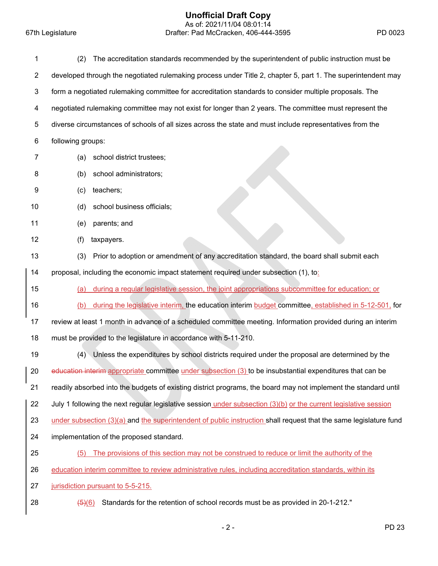#### **Unofficial Draft Copy**

 As of: 2021/11/04 08:01:14 67th Legislature Drafter: Pad McCracken, 406-444-3595 PD 0023

| 1              | The accreditation standards recommended by the superintendent of public instruction must be<br>(2)                  |
|----------------|---------------------------------------------------------------------------------------------------------------------|
| $\overline{c}$ | developed through the negotiated rulemaking process under Title 2, chapter 5, part 1. The superintendent may        |
| 3              | form a negotiated rulemaking committee for accreditation standards to consider multiple proposals. The              |
| 4              | negotiated rulemaking committee may not exist for longer than 2 years. The committee must represent the             |
| 5              | diverse circumstances of schools of all sizes across the state and must include representatives from the            |
| 6              | following groups:                                                                                                   |
| 7              | school district trustees;<br>(a)                                                                                    |
| 8              | school administrators;<br>(b)                                                                                       |
| 9              | teachers;<br>(c)                                                                                                    |
| 10             | school business officials;<br>(d)                                                                                   |
| 11             | parents; and<br>(e)                                                                                                 |
| 12             | (f)<br>taxpayers.                                                                                                   |
| 13             | Prior to adoption or amendment of any accreditation standard, the board shall submit each<br>(3)                    |
| 14             | proposal, including the economic impact statement required under subsection (1), to:                                |
| 15             | during a regular legislative session, the joint appropriations subcommittee for education; or<br>(a)                |
| 16             | during the legislative interim, the education interim budget committee, established in 5-12-501, for<br>(b)         |
| 17             | review at least 1 month in advance of a scheduled committee meeting. Information provided during an interim         |
| 18             | must be provided to the legislature in accordance with 5-11-210.                                                    |
| 19             | Unless the expenditures by school districts required under the proposal are determined by the<br>(4)                |
| 20             | education interim appropriate committee under subsection (3) to be insubstantial expenditures that can be           |
| 21             | readily absorbed into the budgets of existing district programs, the board may not implement the standard until     |
| 22             | July 1 following the next regular legislative session under subsection (3)(b) or the current legislative session    |
| 23             | under subsection $(3)(a)$ and the superintendent of public instruction shall request that the same legislature fund |
| 24             | implementation of the proposed standard.                                                                            |
| 25             | The provisions of this section may not be construed to reduce or limit the authority of the<br>(5)                  |
| 26             | education interim committee to review administrative rules, including accreditation standards, within its           |
| 27             | jurisdiction pursuant to 5-5-215.                                                                                   |
| 28             | Standards for the retention of school records must be as provided in 20-1-212."<br>$\left( 5\right) (6)$            |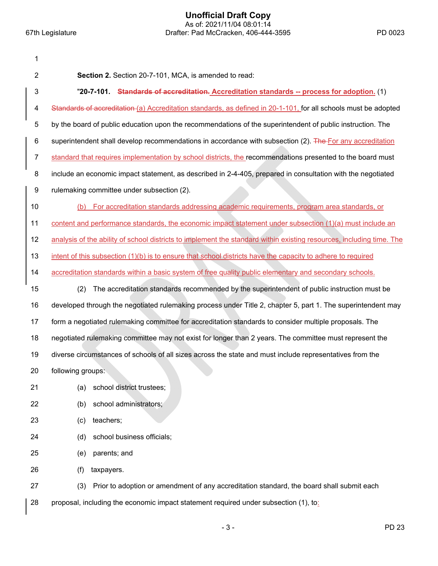| 1              |                                                                                                                      |
|----------------|----------------------------------------------------------------------------------------------------------------------|
| $\overline{2}$ | Section 2. Section 20-7-101, MCA, is amended to read:                                                                |
| 3              | "20-7-101. Standards of accreditation. Accreditation standards -- process for adoption. (1)                          |
| 4              | Standards of accreditation (a) Accreditation standards, as defined in 20-1-101, for all schools must be adopted      |
| 5              | by the board of public education upon the recommendations of the superintendent of public instruction. The           |
| 6              | superintendent shall develop recommendations in accordance with subsection (2). The For any accreditation            |
| $\overline{7}$ | standard that requires implementation by school districts, the recommendations presented to the board must           |
| 8              | include an economic impact statement, as described in 2-4-405, prepared in consultation with the negotiated          |
| 9              | rulemaking committee under subsection (2).                                                                           |
| 10             | For accreditation standards addressing academic requirements, program area standards, or<br>(b)                      |
| 11             | content and performance standards, the economic impact statement under subsection (1)(a) must include an             |
| 12             | analysis of the ability of school districts to implement the standard within existing resources, including time. The |
| 13             | intent of this subsection $(1)(b)$ is to ensure that school districts have the capacity to adhere to required        |
| 14             | accreditation standards within a basic system of free quality public elementary and secondary schools.               |
| 15             | The accreditation standards recommended by the superintendent of public instruction must be<br>(2)                   |
| 16             | developed through the negotiated rulemaking process under Title 2, chapter 5, part 1. The superintendent may         |
| 17             | form a negotiated rulemaking committee for accreditation standards to consider multiple proposals. The               |
| 18             | negotiated rulemaking committee may not exist for longer than 2 years. The committee must represent the              |
| 19             | diverse circumstances of schools of all sizes across the state and must include representatives from the             |
| 20             | following groups:                                                                                                    |
| 21             | school district trustees;<br>(a)                                                                                     |
| 22             | school administrators;<br>(b)                                                                                        |
| 23             | teachers;<br>(c)                                                                                                     |
| 24             | school business officials;<br>(d)                                                                                    |
| 25             | parents; and<br>(e)                                                                                                  |
| 26             | (f)<br>taxpayers.                                                                                                    |
| 27             | (3)<br>Prior to adoption or amendment of any accreditation standard, the board shall submit each                     |
| 28             | proposal, including the economic impact statement required under subsection (1), to:                                 |